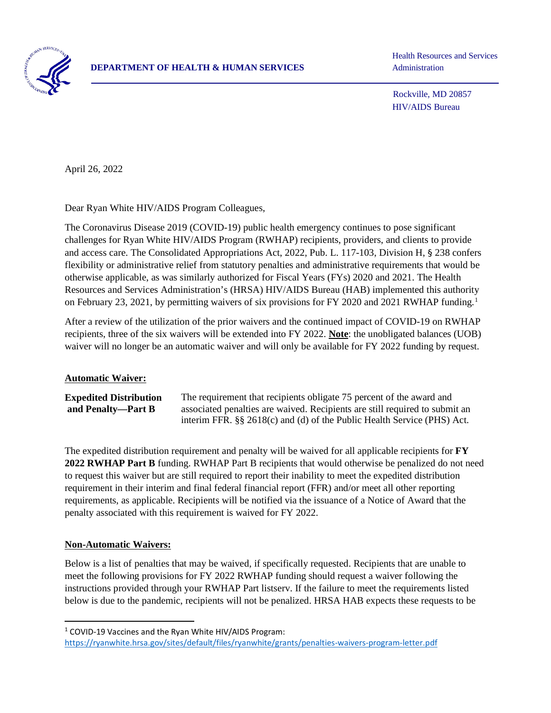

 Health Resources and Services Administration

 Rockville, MD 20857 HIV/AIDS Bureau

April 26, 2022

Dear Ryan White HIV/AIDS Program Colleagues,

The Coronavirus Disease 2019 (COVID-19) public health emergency continues to pose significant challenges for Ryan White HIV/AIDS Program (RWHAP) recipients, providers, and clients to provide and access care. The Consolidated Appropriations Act, 2022, Pub. L. 117-103, Division H, § 238 confers flexibility or administrative relief from statutory penalties and administrative requirements that would be otherwise applicable, as was similarly authorized for Fiscal Years (FYs) 2020 and 2021. The Health Resources and Services Administration's (HRSA) HIV/AIDS Bureau (HAB) implemented this authority on February 23, 2021, by permitting waivers of six provisions for FY 2020 and 2021 RWHAP funding. [1](#page-0-0)

After a review of the utilization of the prior waivers and the continued impact of COVID-19 on RWHAP recipients, three of the six waivers will be extended into FY 2022. **Note**: the unobligated balances (UOB) waiver will no longer be an automatic waiver and will only be available for FY 2022 funding by request.

## **Automatic Waiver:**

**Expedited Distribution and Penalty—Part B** The requirement that recipients obligate 75 percent of the award and associated penalties are waived. Recipients are still required to submit an interim FFR. §§ 2618(c) and (d) of the Public Health Service (PHS) Act.

The expedited distribution requirement and penalty will be waived for all applicable recipients for **FY 2022 RWHAP Part B** funding. RWHAP Part B recipients that would otherwise be penalized do not need to request this waiver but are still required to report their inability to meet the expedited distribution requirement in their interim and final federal financial report (FFR) and/or meet all other reporting requirements, as applicable. Recipients will be notified via the issuance of a Notice of Award that the penalty associated with this requirement is waived for FY 2022.

## **Non-Automatic Waivers:**

 $\overline{a}$ 

Below is a list of penalties that may be waived, if specifically requested. Recipients that are unable to meet the following provisions for FY 2022 RWHAP funding should request a waiver following the instructions provided through your RWHAP Part listserv. If the failure to meet the requirements listed below is due to the pandemic, recipients will not be penalized. HRSA HAB expects these requests to be

<span id="page-0-0"></span><sup>1</sup> COVID-19 Vaccines and the Ryan White HIV/AIDS Program:

<https://ryanwhite.hrsa.gov/sites/default/files/ryanwhite/grants/penalties-waivers-program-letter.pdf>